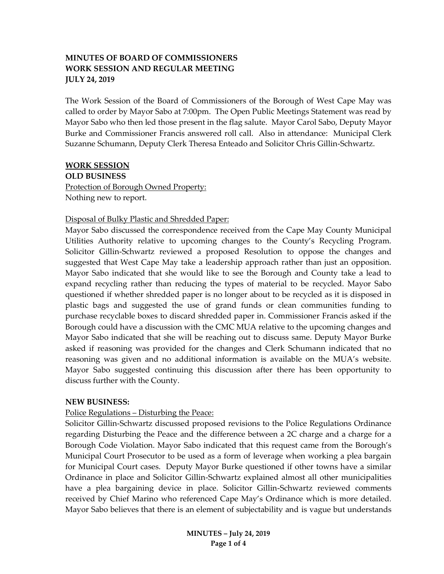## **MINUTES OF BOARD OF COMMISSIONERS WORK SESSION AND REGULAR MEETING JULY 24, 2019**

The Work Session of the Board of Commissioners of the Borough of West Cape May was called to order by Mayor Sabo at 7:00pm. The Open Public Meetings Statement was read by Mayor Sabo who then led those present in the flag salute. Mayor Carol Sabo, Deputy Mayor Burke and Commissioner Francis answered roll call. Also in attendance: Municipal Clerk Suzanne Schumann, Deputy Clerk Theresa Enteado and Solicitor Chris Gillin-Schwartz.

#### **WORK SESSION**

**OLD BUSINESS**

Protection of Borough Owned Property: Nothing new to report.

## Disposal of Bulky Plastic and Shredded Paper:

Mayor Sabo discussed the correspondence received from the Cape May County Municipal Utilities Authority relative to upcoming changes to the County's Recycling Program. Solicitor Gillin-Schwartz reviewed a proposed Resolution to oppose the changes and suggested that West Cape May take a leadership approach rather than just an opposition. Mayor Sabo indicated that she would like to see the Borough and County take a lead to expand recycling rather than reducing the types of material to be recycled. Mayor Sabo questioned if whether shredded paper is no longer about to be recycled as it is disposed in plastic bags and suggested the use of grand funds or clean communities funding to purchase recyclable boxes to discard shredded paper in. Commissioner Francis asked if the Borough could have a discussion with the CMC MUA relative to the upcoming changes and Mayor Sabo indicated that she will be reaching out to discuss same. Deputy Mayor Burke asked if reasoning was provided for the changes and Clerk Schumann indicated that no reasoning was given and no additional information is available on the MUA's website. Mayor Sabo suggested continuing this discussion after there has been opportunity to discuss further with the County.

## **NEW BUSINESS:**

## Police Regulations – Disturbing the Peace:

Solicitor Gillin-Schwartz discussed proposed revisions to the Police Regulations Ordinance regarding Disturbing the Peace and the difference between a 2C charge and a charge for a Borough Code Violation. Mayor Sabo indicated that this request came from the Borough's Municipal Court Prosecutor to be used as a form of leverage when working a plea bargain for Municipal Court cases. Deputy Mayor Burke questioned if other towns have a similar Ordinance in place and Solicitor Gillin-Schwartz explained almost all other municipalities have a plea bargaining device in place. Solicitor Gillin-Schwartz reviewed comments received by Chief Marino who referenced Cape May's Ordinance which is more detailed. Mayor Sabo believes that there is an element of subjectability and is vague but understands

> **MINUTES – July 24, 2019 Page 1 of 4**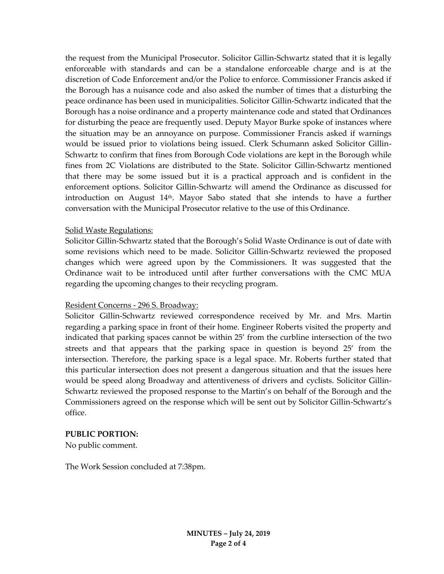the request from the Municipal Prosecutor. Solicitor Gillin-Schwartz stated that it is legally enforceable with standards and can be a standalone enforceable charge and is at the discretion of Code Enforcement and/or the Police to enforce. Commissioner Francis asked if the Borough has a nuisance code and also asked the number of times that a disturbing the peace ordinance has been used in municipalities. Solicitor Gillin-Schwartz indicated that the Borough has a noise ordinance and a property maintenance code and stated that Ordinances for disturbing the peace are frequently used. Deputy Mayor Burke spoke of instances where the situation may be an annoyance on purpose. Commissioner Francis asked if warnings would be issued prior to violations being issued. Clerk Schumann asked Solicitor Gillin-Schwartz to confirm that fines from Borough Code violations are kept in the Borough while fines from 2C Violations are distributed to the State. Solicitor Gillin-Schwartz mentioned that there may be some issued but it is a practical approach and is confident in the enforcement options. Solicitor Gillin-Schwartz will amend the Ordinance as discussed for introduction on August  $14<sup>th</sup>$ . Mayor Sabo stated that she intends to have a further conversation with the Municipal Prosecutor relative to the use of this Ordinance.

#### Solid Waste Regulations:

Solicitor Gillin-Schwartz stated that the Borough's Solid Waste Ordinance is out of date with some revisions which need to be made. Solicitor Gillin-Schwartz reviewed the proposed changes which were agreed upon by the Commissioners. It was suggested that the Ordinance wait to be introduced until after further conversations with the CMC MUA regarding the upcoming changes to their recycling program.

#### Resident Concerns - 296 S. Broadway:

Solicitor Gillin-Schwartz reviewed correspondence received by Mr. and Mrs. Martin regarding a parking space in front of their home. Engineer Roberts visited the property and indicated that parking spaces cannot be within 25' from the curbline intersection of the two streets and that appears that the parking space in question is beyond 25' from the intersection. Therefore, the parking space is a legal space. Mr. Roberts further stated that this particular intersection does not present a dangerous situation and that the issues here would be speed along Broadway and attentiveness of drivers and cyclists. Solicitor Gillin-Schwartz reviewed the proposed response to the Martin's on behalf of the Borough and the Commissioners agreed on the response which will be sent out by Solicitor Gillin-Schwartz's office.

#### **PUBLIC PORTION:**

No public comment.

The Work Session concluded at 7:38pm.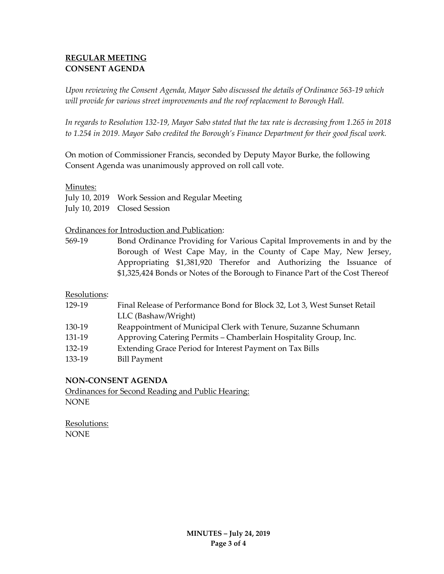# **REGULAR MEETING CONSENT AGENDA**

*Upon reviewing the Consent Agenda, Mayor Sabo discussed the details of Ordinance 563-19 which will provide for various street improvements and the roof replacement to Borough Hall.* 

*In regards to Resolution 132-19, Mayor Sabo stated that the tax rate is decreasing from 1.265 in 2018 to 1.254 in 2019. Mayor Sabo credited the Borough's Finance Department for their good fiscal work.*

On motion of Commissioner Francis, seconded by Deputy Mayor Burke, the following Consent Agenda was unanimously approved on roll call vote.

## Minutes:

| July 10, 2019 Work Session and Regular Meeting |
|------------------------------------------------|
| July 10, 2019 Closed Session                   |

Ordinances for Introduction and Publication:

569-19 Bond Ordinance Providing for Various Capital Improvements in and by the Borough of West Cape May, in the County of Cape May, New Jersey, Appropriating \$1,381,920 Therefor and Authorizing the Issuance of \$1,325,424 Bonds or Notes of the Borough to Finance Part of the Cost Thereof

Resolutions:

| 129-19 | Final Release of Performance Bond for Block 32, Lot 3, West Sunset Retail |
|--------|---------------------------------------------------------------------------|
|        | LLC (Bashaw/Wright)                                                       |
| 130-19 | Reappointment of Municipal Clerk with Tenure, Suzanne Schumann            |
| 131-19 | Approving Catering Permits – Chamberlain Hospitality Group, Inc.          |
| 132-19 | Extending Grace Period for Interest Payment on Tax Bills                  |
| 133-19 | <b>Bill Payment</b>                                                       |
|        |                                                                           |

## **NON-CONSENT AGENDA**

Ordinances for Second Reading and Public Hearing: NONE

Resolutions: **NONE**